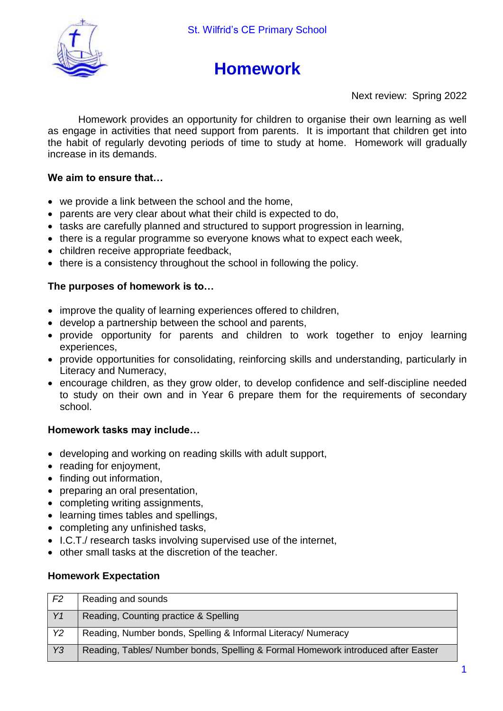

# **Homework**

Next review: Spring 2022

Homework provides an opportunity for children to organise their own learning as well as engage in activities that need support from parents. It is important that children get into the habit of regularly devoting periods of time to study at home. Homework will gradually increase in its demands.

## **We aim to ensure that…**

- we provide a link between the school and the home,
- parents are very clear about what their child is expected to do,
- tasks are carefully planned and structured to support progression in learning,
- there is a regular programme so everyone knows what to expect each week,
- children receive appropriate feedback,
- there is a consistency throughout the school in following the policy.

## **The purposes of homework is to…**

- improve the quality of learning experiences offered to children,
- develop a partnership between the school and parents,
- provide opportunity for parents and children to work together to enjoy learning experiences,
- provide opportunities for consolidating, reinforcing skills and understanding, particularly in Literacy and Numeracy,
- encourage children, as they grow older, to develop confidence and self-discipline needed to study on their own and in Year 6 prepare them for the requirements of secondary school.

## **Homework tasks may include…**

- developing and working on reading skills with adult support,
- reading for enjoyment,
- finding out information,
- preparing an oral presentation,
- completing writing assignments,
- learning times tables and spellings,
- completing any unfinished tasks,
- I.C.T./ research tasks involving supervised use of the internet,
- other small tasks at the discretion of the teacher.

## **Homework Expectation**

| F <sub>2</sub> | Reading and sounds                                                                |
|----------------|-----------------------------------------------------------------------------------|
| Y1             | Reading, Counting practice & Spelling                                             |
| <b>Y2</b>      | Reading, Number bonds, Spelling & Informal Literacy/ Numeracy                     |
| Y3             | Reading, Tables/ Number bonds, Spelling & Formal Homework introduced after Easter |